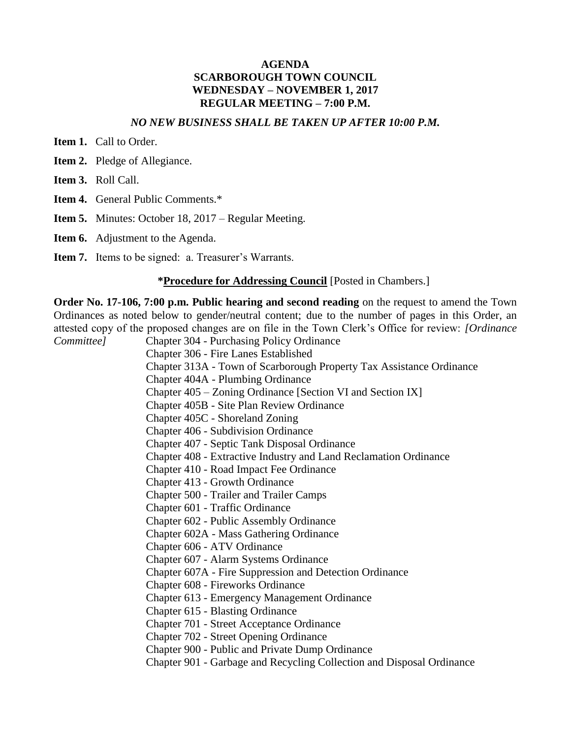## **AGENDA SCARBOROUGH TOWN COUNCIL WEDNESDAY – NOVEMBER 1, 2017 REGULAR MEETING – 7:00 P.M.**

## *NO NEW BUSINESS SHALL BE TAKEN UP AFTER 10:00 P.M.*

**Item 1.** Call to Order.

- **Item 2.** Pledge of Allegiance.
- **Item 3.** Roll Call.
- **Item 4.** General Public Comments.\*
- **Item 5.** Minutes: October 18, 2017 Regular Meeting.
- **Item 6.** Adjustment to the Agenda.
- **Item 7.** Items to be signed: a. Treasurer's Warrants.

#### **\*Procedure for Addressing Council** [Posted in Chambers.]

**Order No. 17-106, 7:00 p.m. Public hearing and second reading** on the request to amend the Town Ordinances as noted below to gender/neutral content; due to the number of pages in this Order, an attested copy of the proposed changes are on file in the Town Clerk's Office for review: *[Ordinance Committee]* Chapter 304 - Purchasing Policy Ordinance Chapter 306 - Fire Lanes Established Chapter 313A - Town of Scarborough Property Tax Assistance Ordinance Chapter 404A - Plumbing Ordinance Chapter 405 – Zoning Ordinance [Section VI and Section IX] Chapter 405B - Site Plan Review Ordinance Chapter 405C - Shoreland Zoning Chapter 406 - Subdivision Ordinance Chapter 407 - Septic Tank Disposal Ordinance Chapter 408 - Extractive Industry and Land Reclamation Ordinance Chapter 410 - Road Impact Fee Ordinance Chapter 413 - Growth Ordinance Chapter 500 - Trailer and Trailer Camps Chapter 601 - Traffic Ordinance Chapter 602 - Public Assembly Ordinance Chapter 602A - Mass Gathering Ordinance Chapter 606 - ATV Ordinance Chapter 607 - Alarm Systems Ordinance Chapter 607A - Fire Suppression and Detection Ordinance Chapter 608 - Fireworks Ordinance Chapter 613 - Emergency Management Ordinance Chapter 615 - Blasting Ordinance Chapter 701 - Street Acceptance Ordinance Chapter 702 - Street Opening Ordinance Chapter 900 - Public and Private Dump Ordinance Chapter 901 - Garbage and Recycling Collection and Disposal Ordinance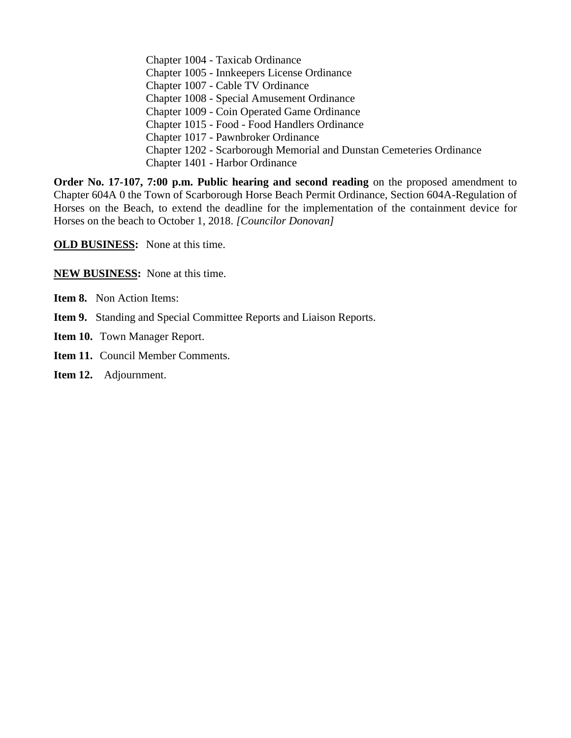Chapter 1004 - Taxicab Ordinance Chapter 1005 - Innkeepers License Ordinance Chapter 1007 - Cable TV Ordinance Chapter 1008 - Special Amusement Ordinance Chapter 1009 - Coin Operated Game Ordinance Chapter 1015 - Food - Food Handlers Ordinance Chapter 1017 - Pawnbroker Ordinance Chapter 1202 - Scarborough Memorial and Dunstan Cemeteries Ordinance Chapter 1401 - Harbor Ordinance

**Order No. 17-107, 7:00 p.m. Public hearing and second reading** on the proposed amendment to Chapter 604A 0 the Town of Scarborough Horse Beach Permit Ordinance, Section 604A-Regulation of Horses on the Beach, to extend the deadline for the implementation of the containment device for Horses on the beach to October 1, 2018. *[Councilor Donovan]*

**OLD BUSINESS:** None at this time.

**NEW BUSINESS:** None at this time.

- **Item 8.** Non Action Items:
- **Item 9.** Standing and Special Committee Reports and Liaison Reports.
- **Item 10.** Town Manager Report.
- **Item 11.** Council Member Comments.
- **Item 12.** Adjournment.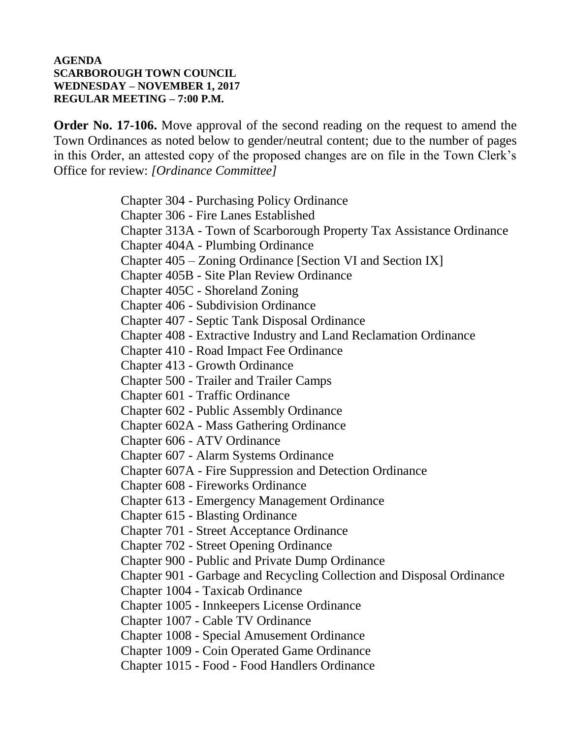# **AGENDA SCARBOROUGH TOWN COUNCIL WEDNESDAY – NOVEMBER 1, 2017 REGULAR MEETING – 7:00 P.M.**

**Order No. 17-106.** Move approval of the second reading on the request to amend the Town Ordinances as noted below to gender/neutral content; due to the number of pages in this Order, an attested copy of the proposed changes are on file in the Town Clerk's Office for review: *[Ordinance Committee]*

> Chapter 304 - Purchasing Policy Ordinance Chapter 306 - Fire Lanes Established Chapter 313A - Town of Scarborough Property Tax Assistance Ordinance Chapter 404A - Plumbing Ordinance Chapter 405 – Zoning Ordinance [Section VI and Section IX] Chapter 405B - Site Plan Review Ordinance Chapter 405C - Shoreland Zoning Chapter 406 - Subdivision Ordinance Chapter 407 - Septic Tank Disposal Ordinance Chapter 408 - Extractive Industry and Land Reclamation Ordinance Chapter 410 - Road Impact Fee Ordinance Chapter 413 - Growth Ordinance Chapter 500 - Trailer and Trailer Camps Chapter 601 - Traffic Ordinance Chapter 602 - Public Assembly Ordinance Chapter 602A - Mass Gathering Ordinance Chapter 606 - ATV Ordinance Chapter 607 - Alarm Systems Ordinance Chapter 607A - Fire Suppression and Detection Ordinance Chapter 608 - Fireworks Ordinance Chapter 613 - Emergency Management Ordinance Chapter 615 - Blasting Ordinance Chapter 701 - Street Acceptance Ordinance Chapter 702 - Street Opening Ordinance Chapter 900 - Public and Private Dump Ordinance Chapter 901 - Garbage and Recycling Collection and Disposal Ordinance Chapter 1004 - Taxicab Ordinance Chapter 1005 - Innkeepers License Ordinance Chapter 1007 - Cable TV Ordinance Chapter 1008 - Special Amusement Ordinance Chapter 1009 - Coin Operated Game Ordinance Chapter 1015 - Food - Food Handlers Ordinance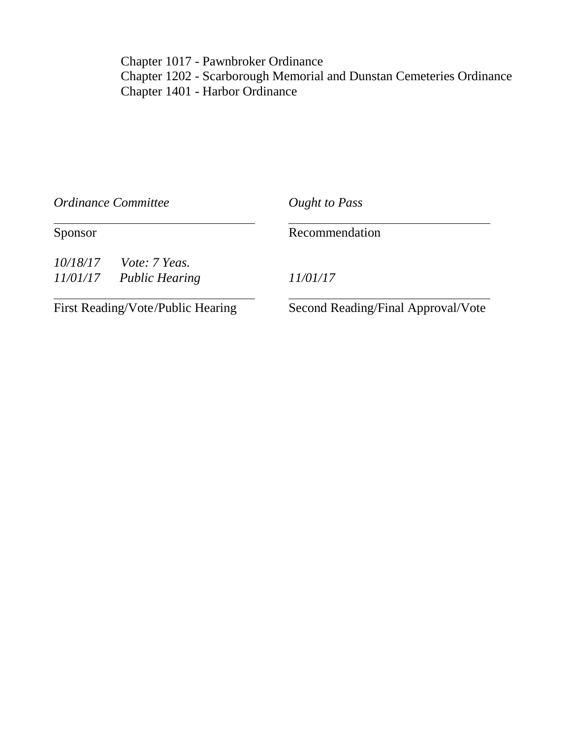Chapter 1017 - Pawnbroker Ordinance Chapter 1202 - Scarborough Memorial and Dunstan Cemeteries Ordinance Chapter 1401 - Harbor Ordinance

| Ordinance Committee<br>Sponsor    |  | Ought to Pass<br>Recommendation    |
|-----------------------------------|--|------------------------------------|
|                                   |  |                                    |
| First Reading/Vote/Public Hearing |  | Second Reading/Final Approval/Vote |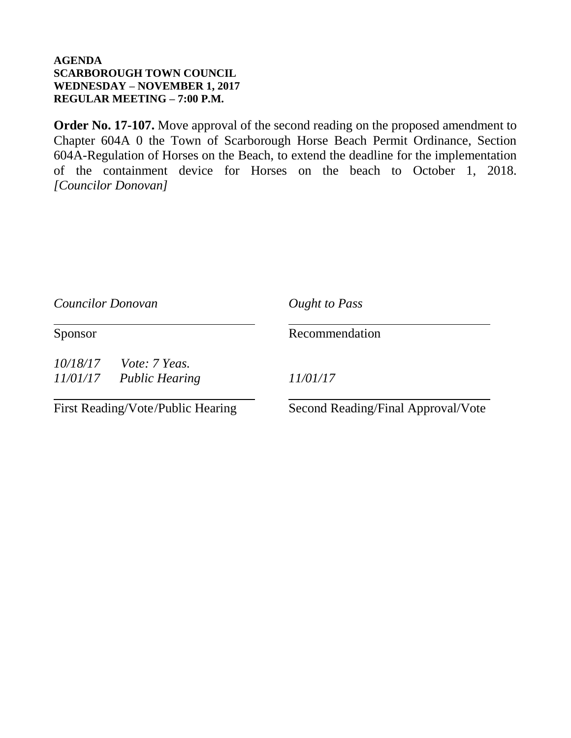# **AGENDA SCARBOROUGH TOWN COUNCIL WEDNESDAY – NOVEMBER 1, 2017 REGULAR MEETING – 7:00 P.M.**

**Order No. 17-107.** Move approval of the second reading on the proposed amendment to Chapter 604A 0 the Town of Scarborough Horse Beach Permit Ordinance, Section 604A-Regulation of Horses on the Beach, to extend the deadline for the implementation of the containment device for Horses on the beach to October 1, 2018. *[Councilor Donovan]*

| Councilor Donovan<br>Sponsor      |  | Ought to Pass<br>Recommendation    |
|-----------------------------------|--|------------------------------------|
|                                   |  |                                    |
| First Reading/Vote/Public Hearing |  | Second Reading/Final Approval/Vote |